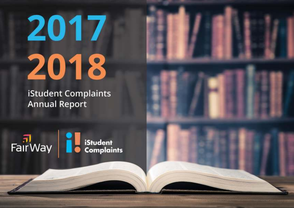# 2017 2018

**iStudent Complaints Annual Report** 

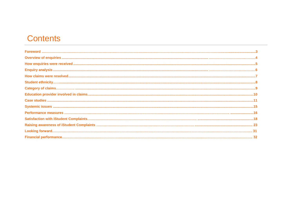# **Contents**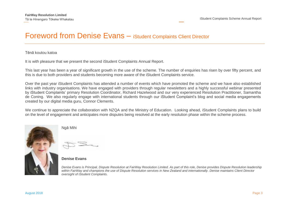## Foreword from Denise Evans – iStudent Complaints Client Director

#### Tēnā koutou katoa

It is with pleasure that we present the second iStudent Complaints Annual Report.

This last year has been a year of significant growth in the use of the scheme. The number of enquiries has risen by over fifty percent, and this is due to both providers and students becoming more aware of the iStudent Complaints service.

Over the past year iStudent Complaints has attended a number of events which have promoted the scheme and we have also established links with industry organisations. We have engaged with providers through regular newsletters and a highly successful webinar presented by iStudent Complaints' primary Resolution Coordinator, Richard Hazelwood and our very experienced Resolution Practitioner, Samantha de Coning. We also regularly engage with international students through our iStudent Complaint's blog and social media engagements created by our digital media guru, Connor Clements.

We continue to appreciate the collaboration with NZQA and the Ministry of Education. Looking ahead, iStudent Complaints plans to build on the level of engagement and anticipates more disputes being resolved at the early resolution phase within the scheme process.



Ngā Mihi

**Denise Evans** 

Denise Evans is Principal, Dispute Resolution at FairWay Resolution Limited. As part of this role, Denise provides Dispute Resolution leadership within FairWay and champions the use of Dispute Resolution services in New Zealand and internationally. Denise maintains Client Director oversight of iStudent Complaints.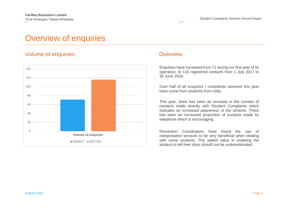# <span id="page-3-0"></span>Overview of enquiries

#### Volume of enquiries and a set of the Coverview Coverview



Enquiries have increased from 71 during our first year of its operation, to 116 registered contacts from 1 July 2017 to 30 June 2018.

Over half of all enquiries / complaints received this year have come from students from India.

This year, there has been an increase in the number of contacts made directly with iStudent Complaints which indicates an increased awareness of the scheme. There has been an increased proportion of contacts made by telephone which is encouraging.

Resolution Coordinators have found the use of interpretation services to be very beneficial when dealing with some students. The added value in enabling the student to tell their story should not be underestimated.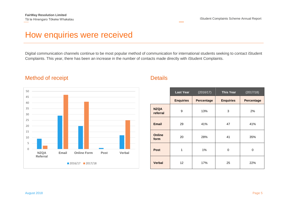# How enquiries were received

Digital communication channels continue to be most popular method of communication for international students seeking to contact iStudent Complaints. This year, there has been an increase in the number of contacts made directly with iStudent Complaints.

#### Method of receipt **Details**



|                         | <b>Last Year</b> | (2016/17)<br><b>This Year</b> |                  | (2017/18)         |
|-------------------------|------------------|-------------------------------|------------------|-------------------|
|                         | <b>Enquiries</b> | <b>Percentage</b>             | <b>Enquiries</b> | <b>Percentage</b> |
| <b>NZQA</b><br>referral | 9                | 13%                           | 3                | 2%                |
| <b>Email</b>            | 29               | 41%                           | 47               | 41%               |
| <b>Online</b><br>form   | 20               | 28%                           | 41               | 35%               |
| <b>Post</b>             | 1                | 1%                            | 0                | 0                 |
| <b>Verbal</b>           | 12               | 17%                           | 25               | 22%               |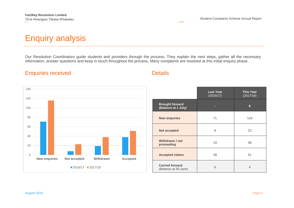# Enquiry analysis

Our Resolution Coordinators guide students and providers through the process. They explain the next steps, gather all the necessary information, answer questions and keep in touch throughout the process. Many complaints are resolved at this initial enquiry phase.

## Enquiries received **Details**



|                                                | <b>Last Year</b><br>(2016/17) | <b>This Year</b><br>(2017/18) |
|------------------------------------------------|-------------------------------|-------------------------------|
| <b>Brought forward</b><br>(Balance at 1 July)  | ▭                             | 6                             |
| <b>New enquiries</b>                           | 71                            | 116                           |
| <b>Not accepted</b>                            | 8                             | 23                            |
| Withdrawn / not<br>proceeding                  | 19                            | 38                            |
| <b>Accepted claims</b>                         | 38                            | 51                            |
| <b>Carried forward</b><br>(Balance at 30 June) | 6                             | $\overline{4}$                |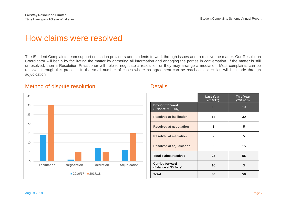# How claims were resolved

The iStudent Complaints team support education providers and students to work through issues and to resolve the matter. Our Resolution Coordinator will begin by facilitating the matter by gathering all information and engaging the parties in conversation. If the matter is still unresolved, then a Resolution Practitioner will help to negotiate a resolution or they may arrange a mediation. Most complaints can be resolved through this process. In the small number of cases where no agreement can be reached, a decision will be made through adjudication

#### Method of dispute resolution **Details** Details



|                                                | <b>Last Year</b><br>(2016/17) | <b>This Year</b><br>(2017/18) |
|------------------------------------------------|-------------------------------|-------------------------------|
| <b>Brought forward</b><br>(Balance at 1 July)  | $\Omega$                      | 10                            |
| <b>Resolved at facilitation</b>                | 14                            | 30                            |
| <b>Resolved at negotiation</b>                 | 1                             | 5                             |
| <b>Resolved at mediation</b>                   | 7                             | 5                             |
| <b>Resolved at adjudication</b>                | 6                             | 15                            |
| <b>Total claims resolved</b>                   | 28                            | 55                            |
| <b>Carried forward</b><br>(Balance at 30 June) | 10                            | 3                             |
| <b>Total</b>                                   | 38                            | 58                            |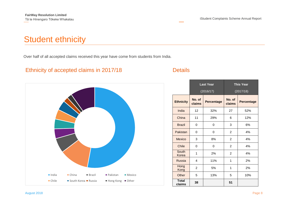# <span id="page-7-0"></span>Student ethnicity

Over half of all accepted claims received this year have come from students from India.

#### Ethnicity of accepted claims in 2017/18 Details



|                        | <b>Last Year</b> |                   |                  | <b>This Year</b>  |
|------------------------|------------------|-------------------|------------------|-------------------|
|                        |                  | (2016/17)         |                  | (2017/18)         |
| <b>Ethnicity</b>       | No. of<br>claims | <b>Percentage</b> | No. of<br>claims | <b>Percentage</b> |
| India                  | 12               | 32%               | 27               | 52%               |
| China                  | 11               | 29%               | 6                | 12%               |
| <b>Brazil</b>          | 0                | 0                 | 3                | 6%                |
| Pakistan               | 0                | 0                 | 2                | 4%                |
| Mexico                 | 3                | 8%                | 2                | 4%                |
| Chile                  | 0                | 0                 | 2                | 4%                |
| South<br>Korea         | 1                | 2%                | 2                | 4%                |
| Russia                 | 4                | 11%               | 1                | 2%                |
| Hong<br>Kong           | 2                | 5%                | 1                | 2%                |
| Other                  | 5                | 13%               | 5                | 10%               |
| <b>Total</b><br>claims | 38               |                   | 51               |                   |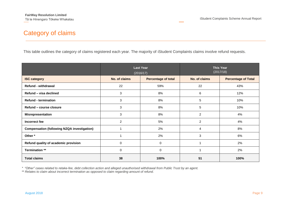## Category of claims

This table outlines the category of claims registered each year. The majority of iStudent Complaints claims involve refund requests.

|                                                    |                | <b>Last Year</b><br>(2016/17) | <b>This Year</b><br>(2017/18) |                            |
|----------------------------------------------------|----------------|-------------------------------|-------------------------------|----------------------------|
| <b>ISC category</b>                                | No. of claims  | <b>Percentage of total</b>    | No. of claims                 | <b>Percentage of Total</b> |
| <b>Refund - withdrawal</b>                         | 22             | 59%                           | 22                            | 43%                        |
| Refund - visa declined                             | 3              | 8%                            | 6                             | 12%                        |
| <b>Refund - termination</b>                        | 3              | 8%                            | 5                             | 10%                        |
| Refund - course closure                            | 3              | 8%                            | 5                             | 10%                        |
| <b>Misrepresentation</b>                           | 3              | 8%                            | $\overline{2}$                | 4%                         |
| Incorrect fee                                      | $\overline{2}$ | 5%                            | $\overline{2}$                | 4%                         |
| <b>Compensation (following NZQA investigation)</b> |                | 2%                            | 4                             | 8%                         |
| Other*                                             |                | 2%                            | 3                             | 6%                         |
| Refund quality of academic provision               | 0              | 0                             |                               | 2%                         |
| Termination **                                     | 0              | 0                             |                               | 2%                         |
| <b>Total claims</b>                                | 38             | 100%                          | 51                            | 100%                       |

*\* "Other" cases related to retake*-fee, debt collection action and alleged unauthorised withdrawal from Public Trust by an agent.

\*\* Relates to claim about incorrect termination as opposed to claim regarding amount of refund.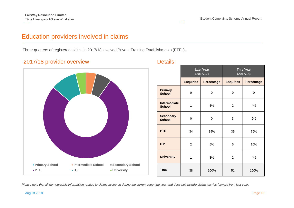## Education providers involved in claims

Three-quarters of registered claims in 2017/18 involved Private Training Establishments (PTEs).

#### 2017/18 provider overview Details



|                                      |                  | <b>Last Year</b><br>(2016/17) | <b>This Year</b><br>(2017/18) |            |
|--------------------------------------|------------------|-------------------------------|-------------------------------|------------|
|                                      | <b>Enquiries</b> | <b>Percentage</b>             | <b>Enquiries</b>              | Percentage |
| <b>Primary</b><br><b>School</b>      | 0                | 0                             | 0                             | $\Omega$   |
| <b>Intermediate</b><br><b>School</b> | 1                | 3%                            | $\overline{2}$                | 4%         |
| <b>Secondary</b><br><b>School</b>    | 0                | 0                             | 3                             | 6%         |
| <b>PTE</b>                           | 34               | 89%                           | 39                            | 76%        |
| <b>ITP</b>                           | $\overline{2}$   | 5%                            | 5                             | 10%        |
| <b>University</b>                    | 1                | 3%                            | $\overline{2}$                | 4%         |
| <b>Total</b>                         | 38               | 100%                          | 51                            | 100%       |

Please note that all demographic information relates to claims accepted during the current reporting year and does not include claims carries forward from last year.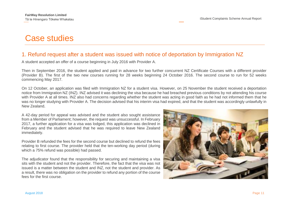# <span id="page-10-0"></span>Case studies

#### 1. Refund request after a student was issued with notice of deportation by Immigration NZ

A student accepted an offer of a course beginning in July 2016 with Provider A.

Then in September 2016, the student applied and paid in advance for two further concurrent NZ Certificate Courses with a different provider (Provider B). The first of the two new courses running for 28 weeks beginning 24 October 2016. The second course to run for 52 weeks commencing May 2017.

On 12 October, an application was filed with Immigration NZ for a student visa. However, on 25 November the student received a deportation notice from Immigration NZ (INZ). INZ advised it was declining the visa because he had breached previous conditions by not attending his course with Provider A at all times. INZ also had concerns regarding whether the student was acting in good faith as he had not informed them that he was no longer studying with Provider A. The decision advised that his interim visa had expired, and that the student was accordingly unlawfully in New Zealand.

A 42-day period for appeal was advised and the student also sought assistance from a Member of Parliament; however, the request was unsuccessful. In February 2017, a further application for a visa was lodged, this application was declined in February and the student advised that he was required to leave New Zealand immediately.

Provider B refunded the fees for the second course but declined to refund the fees relating to first course. The provider held that the ten-working day period (during which a 75% refund was possible) had passed.

The adjudicator found that the responsibility for securing and maintaining a visa sits with the student and not the provider. Therefore, the fact that the visa was not issued is a matter between the student and INZ, not the student and provider. As a result, there was no obligation on the provider to refund any portion of the course fees for the first course.

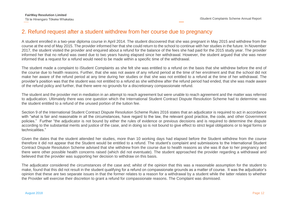#### 2. Refund request after a student withdrew from her course due to pregnancy

A student enrolled in a two-year diploma course in April 2014. The student discovered that she was pregnant in May 2015 and withdrew from the course at the end of May 2015. The provider informed her that she could return to the school to continue with her studies in the future. In November 2017, the student visited the provider and enquired about a refund for the balance of the fees she had paid for the 2015 study year. The provider informed her that no refund was owed due to two years having elapsed since her withdrawal. However, the student argued that she was never informed that a request for a refund would need to be made within a specific time of the withdrawal.

The student made a complaint to iStudent Complaints as she felt she was entitled to a refund on the basis that she withdrew before the end of the course due to health reasons. Further, that she was not aware of any refund period at the time of her enrolment and that the school did not make her aware of the refund period at any time during her studies or that she was not entitled to a refund at the time of her withdrawal. The provider's position was that the student was not entitled to a refund as she withdrew after the refund period had ended, that she was made aware of the refund policy and further, that there were no grounds for a discretionary compassionate refund.

The student and the provider met in mediation in an attempt to reach agreement but were unable to reach agreement and the matter was referred to adjudication. Ultimately there was one question which the International Student Contract Dispute Resolution Scheme had to determine: was the student entitled to a refund of the unused portion of the tuition fee.

Section 9 of the International Student Contract Dispute Resolution Scheme Rules 2016 states that an adjudicator is required to act in accordance with "what is fair and reasonable in all the circumstances, have regard to the law, the relevant good practice, the code, and other Government policies." Further "the adjudicator is not bound by either the rules of evidence or previous decisions and is required to determine the dispute according to the substantial merits and justice of the case, and in doing so is not bound to give effect to strict legal obligations or to legal forms or technicalities."

Given the dates that the student attended her studies, more than 10 working days had elapsed before the Student withdrew from the course therefore it did not appear that the Student would be entitled to a refund. The student's complaint and submissions to the International Student Contract Dispute Resolution Scheme advised that she withdrew from the course due to health reasons as she was ill due to her pregnancy and there were other possible health concerns raised (which did not eventuate). The student approached the provider regarding a withdrawal and believed that the provider was supporting her decision to withdraw on this basis.

The adjudicator considered the circumstances of the case and; whilst of the opinion that this was a reasonable assumption for the student to make, found that this did not result in the student qualifying for a refund on compassionate grounds as a matter of course. It was the adjudicator's opinion that these are two separate issues in that the former relates to a reason for a withdrawal by a student while the latter relates to whether the Provider will exercise their discretion to grant a refund for compassionate reasons. The Complaint was dismissed.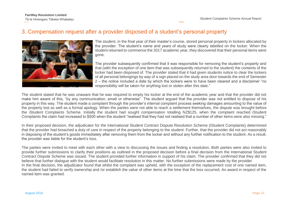#### 3. Compensation request after a provider disposed of a student's personal property



The student, in the final year of their master's course, stored personal property in lockers allocated by the provider. The student's name and years of study were clearly labelled on the locker. When the student returned to commence the 2017 academic year, they discovered that their personal items were gone.

The provider subsequently confirmed that it was responsible for removing the student's property and that (with the exception of one item that was subsequently returned to the student) the contents of the locker had been disposed of. The provider stated that it had given students notice to clear the lockers of all personal belongings by way of a sign placed on the study area door towards the end of Semester 2 – the notice included a date by which the lockers were to have been cleared and a disclaimer "no responsibility will be taken for anything lost or stolen after this date."

The student stated that he was unaware that he was required to empty his locker at the end of the academic year and that the provider did not make him aware of this, "by any communication, email or otherwise". The student argued that the provider was not entitled to dispose of his property in this way. The student made a complaint through the provider's internal complaint process seeking damages amounting to the value of the property lost as well as a formal apology. When the parties were not able to reach a settlement themselves, the dispute was brought before the iStudent Complaints Scheme. Initially the student had sought compensation totalling NZ\$125, when the complaint reached iStudent Complaints the claim had increased to \$500 when the student "realised that they had not realised that a number of other items were also missing."

In their proposed decision, the adjudicator for the International Student Contract Dispute Resolution Scheme (iStudent Complaints) determined that the provider had breached a duty of care in respect of the property belonging to the student. Further, that the provider did not act reasonably in disposing of the student's goods immediately after removing them from the locker and without any further notification to the student. As a result, the provider was liable for the student's loss.

The parties were invited to meet with each other with a view to discussing the issues and finding a resolution. Both parties were also invited to provide further submissions to clarify their positions as outlined in the proposed decision before a final decision from the International Student Contract Dispute Scheme was issued. The student provided further information in support of his claim. The provider confirmed that they did not believe that further dialogue with the student would facilitate resolution in this matter. No further submissions were made by the provider In the final decision, the adjudicator found that whilst the complaint was upheld, with the exception of the replacement cost of one named item, the student had failed to verify ownership and /or establish the value of other items at the time that the loss occurred. An award in respect of the named item was granted.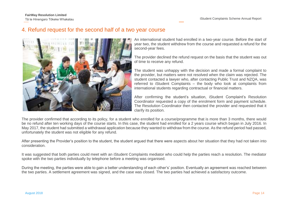#### 4. Refund request for the second half of a two year course

An international student had enrolled in a two-year course. Before the start of year two, the student withdrew from the course and requested a refund for the second-year fees.

The provider declined the refund request on the basis that the student was out of time to receive any refund.

The student was unhappy with the decision and made a formal complaint to the provider, but matters were not resolved when the claim was rejected. The student contacted a lawyer who, after contacting Public Trust and NZQA, was referred to iStudent Complaints – the body who look at complaints from international students regarding contractual or financial matters.

After confirming the student's situation, iStudent Complaint's Resolution Coordinator requested a copy of the enrolment form and payment schedule. The Resolution Coordinator then contacted the provider and requested that it clarify its position.

The provider confirmed that according to its policy, for a student who enrolled for a course/programme that is more than 3 months, there would be no refund after ten working days of the course starts. In this case, the student had enrolled for a 2 years course which began in July 2016. In May 2017, the student had submitted a withdrawal application because they wanted to withdraw from the course. As the refund period had passed, unfortunately the student was not eligible for any refund.

After presenting the Provider's position to the student, the student argued that there were aspects about her situation that they had not taken into consideration.

It was suggested that both parties could meet with an iStudent Complaints mediator who could help the parties reach a resolution. The mediator spoke with the two parties individually by telephone before a meeting was organised.

During the meeting, the parties were able to gain a better understanding of each other's' position. Eventually an agreement was reached between the two parties. A settlement agreement was signed, and the case was closed. The two parties had achieved a satisfactory outcome.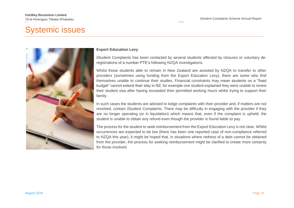# Systemic issues



#### **Export Education Levy**

iStudent Complaints has been contacted by several students affected by closures or voluntary deregistrations of a number PTE's following NZQA investigations.

Whilst those students able to remain in New Zealand are assisted by NZQA to transfer to other providers (sometimes using funding from the Export Education Levy), there are some who find themselves unable to continue their studies. Financial constraints may mean students on a "fixed budget" cannot extend their stay in NZ, for example one student explained they were unable to renew their student visa after having exceeded their permitted working hours whilst trying to support their family.

In such cases the students are advised to lodge complaints with their provider and, if matters are not resolved, contact iStudent Complaints. There may be difficulty in engaging with the provider if they are no longer operating (or in liquidation) which means that, even if the complaint is upheld, the student is unable to obtain any refund even though the provider is found liable to pay.

The process for the student to seek reimbursement from the Export Education Levy is not clear. Whilst occurrences are expected to be low (there has been one reported case of non-compliance referred to NZQA this year), it might be hoped that, in situations where redress of a debt cannot be obtained from the provider, the process for seeking reimbursement might be clarified to create more certainty for those involved.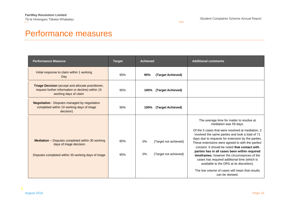# <span id="page-15-0"></span>Performance measures

| <b>Performance Measure</b>                                                                                                                  | <b>Target</b> | <b>Achieved</b>                                            | <b>Additional comments</b>                                                                                                                                                                                                                                                                                                                                                                                                                                                                                                            |
|---------------------------------------------------------------------------------------------------------------------------------------------|---------------|------------------------------------------------------------|---------------------------------------------------------------------------------------------------------------------------------------------------------------------------------------------------------------------------------------------------------------------------------------------------------------------------------------------------------------------------------------------------------------------------------------------------------------------------------------------------------------------------------------|
| Initial response to claim within 1 working<br>Day                                                                                           | 95%           | 95%<br>(Target Achieved)                                   |                                                                                                                                                                                                                                                                                                                                                                                                                                                                                                                                       |
| <b>Triage Decision</b> (accept and allocate practitioner,<br>request further information or decline) within 15<br>working days of claim     | 95%           | (Target Achieved)<br>100%                                  |                                                                                                                                                                                                                                                                                                                                                                                                                                                                                                                                       |
| <b>Negotiation</b> - Disputes managed by negotiation<br>completed within 10 working days of triage<br>decision)                             | 90%           | 100% (Target Achieved)                                     |                                                                                                                                                                                                                                                                                                                                                                                                                                                                                                                                       |
| <b>Mediation</b> – Disputes completed within 30 working<br>days of triage decision.<br>Disputes completed within 35 working days of triage. | 85%<br>95%    | 0%<br>(Target not achieved)<br>0%<br>(Target not achieved) | The average time for matter to resolve at<br>mediation was 59 days.<br>Of the 5 cases that were resolved at mediation, 2<br>involved the same parties and took a total of 71<br>days due to requests for extension by the parties.<br>These extensions were agreed to with the parties'<br>consent. It should be noted that contact with<br>parties has in all cases been within required<br>timeframes, however the circumstances of the<br>cases has required additional time (which is<br>available to the DRS at its discretion). |
|                                                                                                                                             |               |                                                            | The low volume of cases will mean that results<br>can be skewed.                                                                                                                                                                                                                                                                                                                                                                                                                                                                      |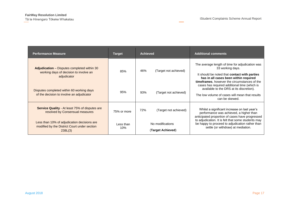| <b>Performance Measure</b>                                                                                  | <b>Target</b>    | <b>Achieved</b> |                                       | <b>Additional comments</b>                                                                                                                                                                                          |
|-------------------------------------------------------------------------------------------------------------|------------------|-----------------|---------------------------------------|---------------------------------------------------------------------------------------------------------------------------------------------------------------------------------------------------------------------|
| <b>Adjudication</b> – Disputes completed within 30<br>working days of decision to involve an<br>adjudicator | 85%              | 46%             | (Target not achieved)                 | The average length of time for adjudication was<br>33 working days.<br>It should be noted that <b>contact with parties</b><br>has in all cases been within required<br>timeframes, however the circumstances of the |
| Disputes completed within 60 working days<br>of the decision to involve an adjudicator                      | 95%              | 93%             | (Target not achieved)                 | cases has required additional time (which is<br>available to the DRS at its discretion).<br>The low volume of cases will mean that results<br>can be skewed.                                                        |
| <b>Service Quality - At least 75% of disputes are</b><br>resolved by Consensual measures                    | 75% or more      | 72%             | (Target not achieved)                 | Whilst a significant increase on last year's<br>performance was achieved, a higher than<br>anticipated proportion of cases have progressed                                                                          |
| Less than 10% of adjudication decisions are<br>modified by the District Court under section<br>238L(3)      | Less than<br>10% |                 | No modifications<br>(Target Achieved) | to adjudication. It is felt that some students may<br>be happy to proceed to adjudication rather than<br>settle (or withdraw) at mediation.                                                                         |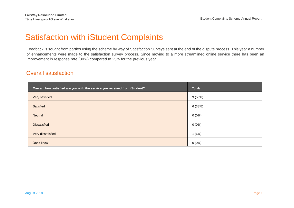# <span id="page-17-0"></span>Satisfaction with iStudent Complaints

Feedback is sought from parties using the scheme by way of Satisfaction Surveys sent at the end of the dispute process. This year a number of enhancements were made to the satisfaction survey process. Since moving to a more streamlined online service there has been an improvement in response rate (30%) compared to 25% for the previous year.

#### Overall satisfaction

| Overall, how satisfied are you with the service you received from iStudent? | <b>Totals</b> |
|-----------------------------------------------------------------------------|---------------|
| Very satisfied                                                              | 9(56%)        |
| Satisfied                                                                   | 6(38%)        |
| <b>Neutral</b>                                                              | $0(0\%)$      |
| <b>Dissatisfied</b>                                                         | $0(0\%)$      |
| Very dissatisfied                                                           | 1(6%)         |
| Don't know                                                                  | $0(0\%)$      |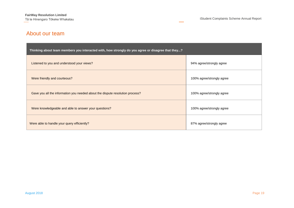#### About our team

| Thinking about team members you interacted with, how strongly do you agree or disagree that they? |                           |  |  |  |
|---------------------------------------------------------------------------------------------------|---------------------------|--|--|--|
| Listened to you and understood your views?                                                        | 94% agree/strongly agree  |  |  |  |
| Were friendly and courteous?                                                                      | 100% agree/strongly agree |  |  |  |
| Gave you all the information you needed about the dispute resolution process?                     | 100% agree/strongly agree |  |  |  |
| Were knowledgeable and able to answer your questions?                                             | 100% agree/strongly agree |  |  |  |
| Were able to handle your query efficiently?                                                       | 87% agree/strongly agree  |  |  |  |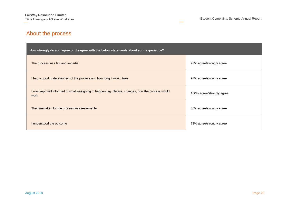## About the process

| How strongly do you agree or disagree with the below statements about your experience?                   |                           |  |  |  |
|----------------------------------------------------------------------------------------------------------|---------------------------|--|--|--|
| The process was fair and impartial                                                                       | 93% agree/strongly agree  |  |  |  |
| I had a good understanding of the process and how long it would take                                     | 93% agree/strongly agree  |  |  |  |
| I was kept well informed of what was going to happen, eg. Delays, changes, how the process would<br>work | 100% agree/strongly agree |  |  |  |
| The time taken for the process was reasonable                                                            | 80% agree/strongly agree  |  |  |  |
| I understood the outcome                                                                                 | 73% agree/strongly agree  |  |  |  |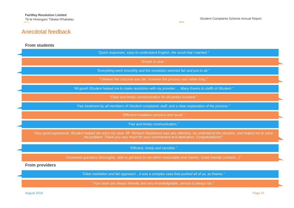## Anecdotal feedback

#### **From students**

|                                   | "Quick responses, easy-to-understand English, the result that I wanted."                                                                                                                                                                         |  |  |  |  |
|-----------------------------------|--------------------------------------------------------------------------------------------------------------------------------------------------------------------------------------------------------------------------------------------------|--|--|--|--|
| "Simple & clear."                 |                                                                                                                                                                                                                                                  |  |  |  |  |
|                                   | "Everything went smoothly and the resolution seemed fair and just to all."                                                                                                                                                                       |  |  |  |  |
|                                   | "I believe the outcome was fair, however the process was rather long."                                                                                                                                                                           |  |  |  |  |
|                                   | "All good! iStudent helped me to make resolution with my provider Many thanks to staffs of iStudent."                                                                                                                                            |  |  |  |  |
|                                   | "Clear and timely communication for all parties involved."                                                                                                                                                                                       |  |  |  |  |
|                                   | "Fair treatment by all members of iStudent complaints staff, and a clear explanation of the process."                                                                                                                                            |  |  |  |  |
|                                   | "Effecient mediation process and result."                                                                                                                                                                                                        |  |  |  |  |
|                                   | "Fair and timely communication."                                                                                                                                                                                                                 |  |  |  |  |
|                                   | "Very good experience. iStudent helped me solve my case. Mr. Richard Hazelwood was very attentive, he understood the situation, and helped me to solve<br>the problem. Thank you very much for your commitment and dedication. Congratulations!" |  |  |  |  |
| "Efficient, timely and sensible." |                                                                                                                                                                                                                                                  |  |  |  |  |
|                                   | "Answered questions thoroughly, able to get back to me within reasonable time frames. Great friendly contacts. :)"                                                                                                                               |  |  |  |  |
|                                   | <b>From providers</b>                                                                                                                                                                                                                            |  |  |  |  |
|                                   | "Clear mediation and fair approachit was a complex case that pushed all of us, so thanks."                                                                                                                                                       |  |  |  |  |
|                                   | "Your team are always friendly and very knowledgeable, service is always fair."                                                                                                                                                                  |  |  |  |  |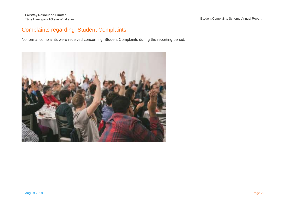## Complaints regarding iStudent Complaints

No formal complaints were received concerning iStudent Complaints during the reporting period.

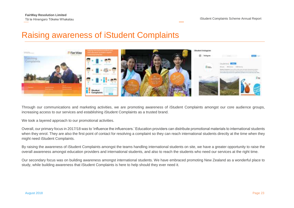# <span id="page-22-0"></span>Raising awareness of iStudent Complaints



Through our communications and marketing activities, we are promoting awareness of iStudent Complaints amongst our core audience groups, increasing access to our services and establishing iStudent Complaints as a trusted brand.

We took a layered approach to our promotional activities.

Overall, our primary focus in 2017/18 was to 'influence the influencers.' Education providers can distribute promotional materials to international students when they enrol. They are also the first point of contact for resolving a complaint so they can reach international students directly at the time when they might need iStudent Complaints.

By raising the awareness of iStudent Complaints amongst the teams handling international students on site, we have a greater opportunity to raise the overall awareness amongst education providers and international students, and also to reach the students who need our services at the right time.

Our secondary focus was on building awareness amongst international students. We have embraced promoting New Zealand as a wonderful place to study, while building awareness that iStudent Complaints is here to help should they ever need it.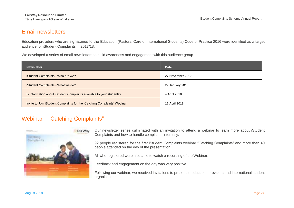#### Email newsletters

Education providers who are signatories to the Education (Pastoral Care of International Students) Code of Practice 2016 were identified as a target audience for iStudent Complaints in 2017/18.

We developed a series of email newsletters to build awareness and engagement with this audience group.

| <b>Newsletter</b>                                                        | <b>Date</b>      |
|--------------------------------------------------------------------------|------------------|
| iStudent Complaints - Who are we?                                        | 27 November 2017 |
| iStudent Complaints - What we do?                                        | 29 January 2018  |
| Is information about iStudent Complaints available to your students?     | 4 April 2018     |
| Invite to Join iStudent Complaints for the 'Catching Complaints' Webinar | 11 April 2018    |

#### Webinar – "Catching Complaints"



Our newsletter series culminated with an invitation to attend a webinar to learn more about iStudent Complaints and how to handle complaints internally.

92 people registered for the first iStudent Complaints webinar "Catching Complaints" and more than 40 people attended on the day of the presentation.

All who registered were also able to watch a recording of the Webinar.

Feedback and engagement on the day was very positive.

Following our webinar, we received invitations to present to education providers and international student organisations.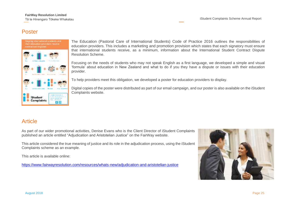#### Poster



The [Education \(Pastoral Care of International Students\) Code of Practice 2016](http://www.legislation.govt.nz/regulation/public/2016/0057/latest/DLM6748147.html) outlines the responsibilities of education providers. This includes a [marketing and promotion provision](http://www.legislation.govt.nz/regulation/public/2016/0057/latest/DLM6748313.html?search=sw_096be8ed8161b551_promotion_25_se&p=1) which states that each signatory must ensure that international students receive, as a minimum, information about the International Student Contract Dispute Resolution Scheme.

Focusing on the needs of students who may not speak English as a first language, we developed a simple and visual 'formula' about education in New Zealand and what to do if you they have a dispute or issues with their education provider.

To help providers meet this obligation, we developed a poster for education providers to display.

Digital copies of the poster were distributed as part of our email campaign, and our poster is also available on the iStudent Complaints website.

#### Article

As part of our wider promotional activities, Denise Evans who is the Client Director of iStudent Complaints published an article entitled "Adjudication and Aristotelian Justice" on the FairWay website.

This article considered the true meaning of justice and its role in the adjudication process, using the iStudent Complaints scheme as an example.

This article is available online:

<https://www.fairwayresolution.com/resources/whats-new/adjudication-and-aristotelian-justice>

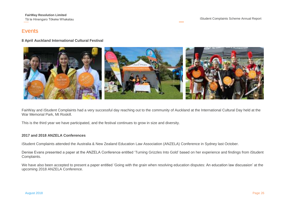#### Events

#### **8 April Auckland International Cultural Festival**



FairWay and iStudent Complaints had a very successful day reaching out to the community of Auckland at the International Cultural Day held at the War Memorial Park, Mt Roskill.

This is the third year we have participated, and the festival continues to grow in size and diversity.

#### **2017 and 2018 ANZELA Conferences**

iStudent Complaints attended the Australia & New Zealand Education Law Association (ANZELA) Conference in Sydney last October.

Denise Evans presented a paper at the ANZELA Conference entitled '[Turning Grizzles Into Gold](http://www.fairwayresolution.com/resources/whats-new/turning-grizzles-into-gold)' based on her experience and findings from iStudent Complaints.

We have also been accepted to present a paper entitled 'Going with the grain when resolving education disputes: An education law discussion' at the upcoming 2018 ANZELA Conference.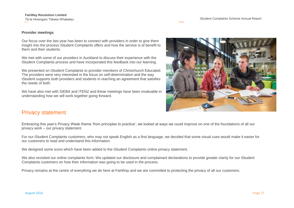**FairWay Resolution Limited**

#### **Provider meetings**

Our focus over the last year has been to connect with providers in order to give them insight into the process iStudent Complaints offers and how the service is of benefit to them and their students.

We met with some of our providers in Auckland to discuss their experience with the iStudent Complaints process and have incorporated this feedback into our learning.

We presented on iStudent Complaints to provider members of Christchurch Educated. The providers were very interested in the focus on self-determination and the way iStudent supports both providers and students in reaching an agreement that satisfies the needs of both.

We have also met with SIEBA and ITENZ and these meetings have been invaluable in understanding how we will work together going forward.



#### Privacy statement

Embracing this year's Privacy Week theme 'from principles to practice', we looked at ways we could improve on one of the foundations of all our privacy work – our privacy statement.

For our iStudent Complaints customers, who may not speak English as a first language, we decided that some visual cues would make it easier for our customers to read and understand this information.

We designed some icons which have been added to the iStudent Complaints online privacy statement.

We also revisited our online complaints form. We updated our disclosure and complainant declarations to provide greater clarity for our iStudent Complaints customers on how their information was going to be used in the process.

Privacy remains at the centre of everything we do here at FairWay and we are committed to protecting the privacy of all our customers.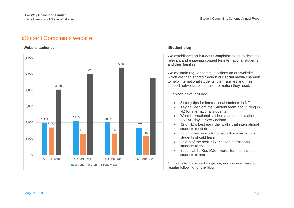#### iStudent Complaints website

#### **Website audience** is a strategies of the strategies of the strategies of the strategies of the strategies of the strategies of the strategies of the strategies of the strategies of the strategies of the strategies of the



We established an iStudent Complaints blog, to develop relevant and engaging content for international students and their families.

We maintain regular communications on our website, which are then shared through our social media channels to help international students, their families and their support networks to find the information they need.

Our blogs have included:

- 8 study tips for international students in NZ
- Key advice from the iStudent team about living in NZ for international students
- What international students should know about ANZAC day in New Zealand
- 12 of NZ's best easy day walks that international students must do
- Top 10 Kiwi words for objects that international students should learn
- Seven of the best 'Kiwi Kai' for international students to try
- Essential Te Reo Māori words for international students to learn.

Our website audience has grown, and we now have a regular following for the blog.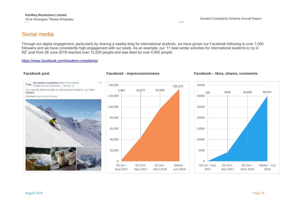#### Social media

Through our digital engagement, particularly by sharing a weekly blog for international students, we have grown our Facebook following to over 7,000 followers and we have consistently high engagement with our posts. As an example, our '11 best winter activities for international students to try in NZ' post from 28 June 2018 reached over 12,000 people and was liked by over 4,900 people.

#### <https://www.facebook.com/istudent.complaints/>

# NZ istudent complaints acted 4 now photos. ,,, **Him Published by Center General Art 28 June 19** 11 of the Heat Worker Activities for International Students for Try in New Zealand Clock here in partners with the con-

#### 2,487 43,977 97,009 133,275 0 20,000 40,000 60,000 80,000 100,000 120,000 140,000 Q1 (Jul - Sep) 2017 Q2 (Oct-Dec) 2017 Q3 (Jan - Mar) 2018 Q4(Apr - Jun) 2018

#### **Facebook post Facebook - impressions/views Facebook – likes, shares, comments**

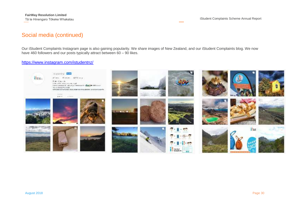#### Social media (continued)

Our iStudent Complaints Instagram page is also gaining popularity. We share images of New Zealand, and our iStudent Complaints blog. We now have 460 followers and our posts typically attract between 60 – 90 likes.

#### <https://www.instagram.com/istudentnz/>

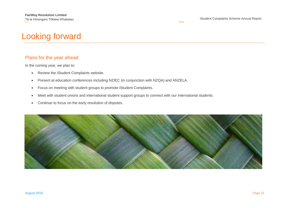# Looking forward

#### Plans for the year ahead

In the coming year, we plan to:

- Review the iStudent Complaints website.
- Present at education conferences including NZIEC (in conjunction with NZQA) and ANZELA.
- Focus on meeting with student groups to promote iStudent Complaints.
- Meet with student unions and international student support groups to connect with our international students.
- Continue to focus on the early resolution of disputes.